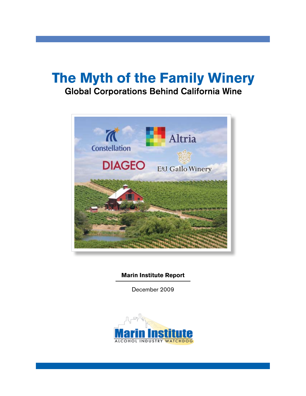# **The Myth of the Family Winery** Global Corporations Behind California Wine



**Marin Institute Report**

December 2009

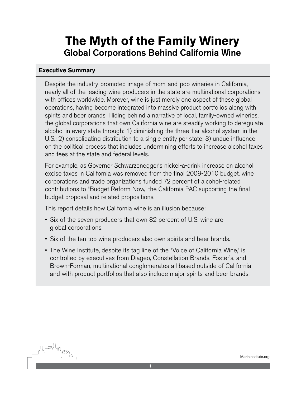## **The Myth of the Family Winery** Global Corporations Behind California Wine

#### **Executive Summary**

Despite the industry-promoted image of mom-and-pop wineries in California, nearly all of the leading wine producers in the state are multinational corporations with offices worldwide. Morever, wine is just merely one aspect of these global operations, having become integrated into massive product portfolios along with spirits and beer brands. Hiding behind a narrative of local, family-owned wineries, the global corporations that own California wine are steadily working to deregulate alcohol in every state through: 1) diminishing the three-tier alcohol system in the U.S.; 2) consolidating distribution to a single entity per state; 3) undue influence on the political process that includes undermining efforts to increase alcohol taxes and fees at the state and federal levels.

For example, as Governor Schwarzenegger's nickel-a-drink increase on alcohol excise taxes in California was removed from the final 2009-2010 budget, wine corporations and trade organizations funded 72 percent of alcohol-related contributions to "Budget Reform Now," the California PAC supporting the final budget proposal and related propositions.

This report details how California wine is an illusion because:

- Six of the seven producers that own 82 percent of U.S. wine are global corporations.
- Six of the ten top wine producers also own spirits and beer brands.
- The Wine Institute, despite its tag line of the "Voice of California Wine," is controlled by executives from Diageo, Constellation Brands, Foster's, and Brown-Forman, multinational conglomerates all based outside of California and with product portfolios that also include major spirits and beer brands.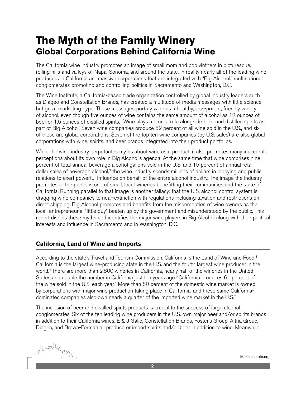### **The Myth of the Family Winery Global Corporations Behind California Wine**

The California wine industry promotes an image of small mom and pop vintners in picturesque, rolling hills and valleys of Napa, Sonoma, and around the state. In reality nearly all of the leading wine producers in California are massive corporations that are integrated with "Big Alcohol," multinational conglomerates promoting and controlling politics in Sacramento and Washington, D.C.

The Wine Institute, a California-based trade organization controlled by global industry leaders such as Diageo and Constellation Brands, has created a multitude of media messages with little science but great marketing hype. These messages portray wine as a healthy, less-potent, friendly variety of alcohol, even though five ounces of wine contains the same amount of alcohol as 12 ounces of beer or 1.5 ounces of distilled spirits.<sup>1</sup> Wine plays a crucial role alongside beer and distilled spirits as part of Big Alcohol. Seven wine companies produce 82 percent of all wine sold in the U.S., and six of these are global corporations. Seven of the top ten wine companies (by U.S. sales) are also global corporations with wine, spirits, and beer brands integrated into their product portfolios.

While the wine industry perpetuates myths about wine as a product, it also promotes many inaccurate perceptions about its own role in Big Alcohol's agenda. At the same time that wine comprises nine percent of total annual beverage alcohol gallons sold in the U.S. and 15 percent of annual retail dollar sales of beverage alcohol, $2$  the wine industry spends millions of dollars in lobbying and public relations to exert powerful influence on behalf of the entire alcohol industry. The image the industry promotes to the public is one of small, local wineries benefitting their communities and the state of California. Running parallel to that image is another fallacy: that the U.S. alcohol control system is dragging wine companies to near-extinction with regulations including taxation and restrictions on direct shipping. Big Alcohol promotes and benefits from the misperception of wine owners as the local, entrepreneurial "little guy," beaten up by the government and misunderstood by the public. This report dispels these myths and identifies the major wine players in Big Alcohol along with their political interests and influence in Sacramento and in Washington, D.C.

#### **California, Land of Wine and Imports**

According to the state's Travel and Tourism Commission, California is the Land of Wine and Food.<sup>3</sup> California is the largest wine-producing state in the U.S. and the fourth largest wine producer in the world.4 There are more than 2,800 wineries in California, nearly half of the wineries in the United States and double the number in California just ten years ago.<sup>5</sup> California produces 61 percent of the wine sold in the U.S. each year.<sup>6</sup> More than 80 percent of the domestic wine market is owned by corporations with major wine production taking place in California, and these same Californiadominated companies also own nearly a quarter of the imported wine market in the U.S.<sup>7</sup>

The inclusion of beer and distilled spirits products is crucial to the success of large alcohol conglomerates. Six of the ten leading wine producers in the U.S. own major beer and/or spirits brands in addition to their California wines. E & J Gallo, Constellation Brands, Foster's Group, Altria Group, Diageo, and Brown-Forman all produce or import spirits and/or beer in addition to wine. Meanwhile,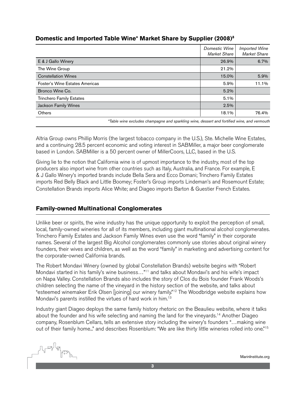#### **Domestic and Imported Table Wine\* Market Share by Supplier (2008)8**

|                                 | Domestic Wine<br><b>Market Share</b> | <b>Imported Wine</b><br><b>Market Share</b> |  |  |
|---------------------------------|--------------------------------------|---------------------------------------------|--|--|
| E & J Gallo Winery              | 26.9%                                | 6.7%                                        |  |  |
| The Wine Group                  | 21.2%                                |                                             |  |  |
| <b>Constellation Wines</b>      | 15.0%                                | 5.9%                                        |  |  |
| Foster's Wine Estates Americas  | 5.9%                                 | 11.1%                                       |  |  |
| Bronco Wine Co.                 | 5.2%                                 |                                             |  |  |
| <b>Trinchero Family Estates</b> | 5.1%                                 |                                             |  |  |
| Jackson Family Wines            | 2.5%                                 |                                             |  |  |
| Others                          | 18.1%                                | 76.4%                                       |  |  |
|                                 |                                      |                                             |  |  |

*\*Table wine excludes champagne and sparkling wine, dessert and fortified wine, and vermouth*

Altria Group owns Phillip Morris (the largest tobacco company in the U.S.), Ste. Michelle Wine Estates, and a continuing 28.5 percent economic and voting interest in SABMiller, a major beer conglomerate based in London. SABMiller is a 50 percent owner of MillerCoors, LLC, based in the U.S.

Giving lie to the notion that California wine is of upmost importance to the industry, most of the top producers also import wine from other countries such as Italy, Australia, and France. For example, E & J Gallo Winery's imported brands include Bella Sera and Ecco Domani; Trinchero Family Estates imports Red Belly Black and Little Boomey; Foster's Group imports Lindeman's and Rosemount Estate; Constellation Brands imports Alice White; and Diageo imports Barton & Guestier French Estates.

#### **Family-owned Multinational Conglomerates**

Unlike beer or spirits, the wine industry has the unique opportunity to exploit the perception of small, local, family-owned wineries for all of its members, including giant multinational alcohol conglomerates. Trinchero Family Estates and Jackson Family Wines even use the word "family" in their corporate names. Several of the largest Big Alcohol conglomerates commonly use stories about original winery founders, their wives and children, as well as the word "family" in marketing and advertising content for the corporate-owned California brands.

The Robert Mondavi Winery (owned by global Constellation Brands) website begins with "Robert Mondavi started in his family's wine business..."<sup>11</sup> and talks about Mondavi's and his wife's impact on Napa Valley. Constellation Brands also includes the story of Clos du Bois founder Frank Woods's children selecting the name of the vineyard in the history section of the website, and talks about "esteemed winemaker Erik Olsen [joining] our winery family."12 The Woodbridge website explains how Mondavi's parents instilled the virtues of hard work in him.13

Industry giant Diageo deploys the same family history rhetoric on the Beaulieu website, where it talks about the founder and his wife selecting and naming the land for the vineyards.14 Another Diageo company, Rosenblum Cellars, tells an extensive story including the winery's founders "…making wine out of their family home..." and describes Rosenblum: "We are like thirty little wineries rolled into one."<sup>15</sup>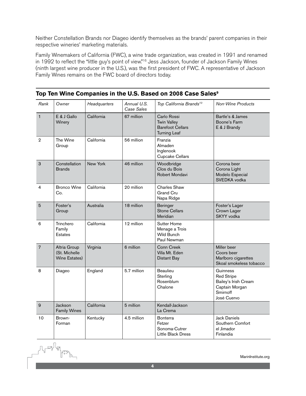Neither Constellation Brands nor Diageo identify themselves as the brands' parent companies in their respective wineries' marketing materials.

Family Winemakers of California (FWC), a wine trade organization, was created in 1991 and renamed in 1992 to reflect the "little guy's point of view."<sup>16</sup> Jess Jackson, founder of Jackson Family Wines (ninth largest wine producer in the U.S.), was the first president of FWC. A representative of Jackson Family Wines remains on the FWC board of directors today.

| Rank           | Owner                                          | Headquarters | Annual U.S.<br>Case Sales | Top California Brands <sup>10</sup>                                                 | <b>Non-Wine Products</b>                                                                           |
|----------------|------------------------------------------------|--------------|---------------------------|-------------------------------------------------------------------------------------|----------------------------------------------------------------------------------------------------|
| $\mathbf{1}$   | E & J Gallo<br>Winery                          | California   | 67 million                | Carlo Rossi<br><b>Twin Valley</b><br><b>Barefoot Cellars</b><br><b>Turning Leaf</b> | Bartle's & James<br>Boone's Farm<br>E & J Brandy                                                   |
| $\overline{2}$ | The Wine<br>Group                              | California   | 56 million                | Franzia<br>Almaden<br>Inglenook<br>Cupcake Cellars                                  |                                                                                                    |
| 3              | Constellation<br><b>Brands</b>                 | New York     | 46 million                | Woodbridge<br>Clos du Bois<br>Robert Mondavi                                        | Corona beer<br>Corona Light<br>Modelo Especial<br>SVEDKA vodka                                     |
| 4              | <b>Bronco Wine</b><br>Co.                      | California   | 20 million                | Charles Shaw<br><b>Grand Cru</b><br>Napa Ridge                                      |                                                                                                    |
| 5              | Foster's<br>Group                              | Australia    | 18 million                | <b>Beringer</b><br><b>Stone Cellars</b><br>Meridian                                 | Foster's Lager<br>Crown Lager<br>SKYY vodka                                                        |
| 6              | Trinchero<br>Family<br><b>Estates</b>          | California   | 12 million                | <b>Sutter Home</b><br>Menage a Trois<br><b>Wild Bunch</b><br>Paul Newman            |                                                                                                    |
| $\overline{7}$ | Altria Group<br>(St. Michelle<br>Wine Estates) | Virginia     | 6 million                 | <b>Conn Creek</b><br>Villa Mt. Eden<br><b>Distant Bay</b>                           | Miller beer<br>Coors beer<br>Marlboro cigarettes<br>Skoal smokeless tobacco                        |
| 8              | Diageo                                         | England      | 5.7 million               | <b>Beaulieu</b><br>Sterling<br>Rosenblum<br>Chalone                                 | Guinness<br><b>Red Stripe</b><br>Bailey's Irish Cream<br>Captain Morgan<br>Smirnoff<br>José Cuervo |
| 9              | Jackson<br><b>Family Wines</b>                 | California   | 5 million                 | Kendall-Jackson<br>La Crema                                                         |                                                                                                    |
| 10             | Brown-<br>Forman                               | Kentucky     | 4.5 million               | <b>Bonterra</b><br>Fetzer<br>Sonoma-Cutrer<br>Little Black Dress                    | <b>Jack Daniels</b><br>Southern Comfort<br>el Jimador<br>Finlandia                                 |

**Top Ten Wine Companies in the U.S. Based on 2008 Case Sales9**

MarinInstitute.org

U Lead Jacob<br>Channel Jacob<br>Channel Jacob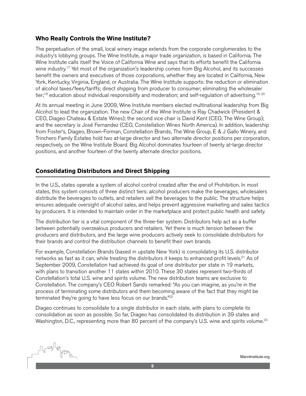#### **Who Really Controls the Wine Institute?**

The perpetuation of the small, local winery image extends from the corporate conglomerates to the industry's lobbying groups. The Wine Institute, a major trade organization, is based in California. The Wine Institute calls itself the Voice of California Wine and says that its efforts benefit the California wine industry.<sup>17</sup> Yet most of the organization's leadership comes from Big Alcohol, and its successes benefit the owners and executives of those corporations, whether they are located in California, New York, Kentucky, Virginia, England, or Australia. The Wine Institute supports: the reduction or elimination of alcohol taxes/fees/tariffs; direct shipping from producer to consumer; eliminating the wholesaler tier;<sup>18</sup> education about individual responsibility and moderation; and self-regulation of advertising.<sup>19, 20</sup>

At its annual meeting in June 2009, Wine Institute members elected multinational leadership from Big Alcohol to lead the organization. The new Chair of the Wine Institute is Ray Chadwick (President & CEO, Diageo Chateau & Estate Wines); the second vice chair is David Kent (CEO, The Wine Group); and the secretary is José Fernandez (CEO, Constellation Wines North America). In addition, leadership from Foster's, Diageo, Brown-Forman, Constellation Brands, The Wine Group, E & J Gallo Winery, and Trinchero Family Estates hold two at-large director and two alternate director positions per corporation, respectively, on the Wine Institute Board. Big Alcohol dominates fourteen of twenty at-large director positions, and another fourteen of the twenty alternate director positions.

#### **Consolidating Distributors and Direct Shipping**

In the U.S., states operate a system of alcohol control created after the end of Prohibition. In most states, this system consists of three distinct tiers: alcohol producers make the beverages, wholesalers distribute the beverages to outlets, and retailers sell the beverages to the public. The structure helps ensures adequate oversight of alcohol sales, and helps prevent aggressive marketing and sales tactics by producers. It is intended to maintain order in the marketplace and protect public health and safety.

The distribution tier is a vital component of the three-tier system. Distributors help act as a buffer between potentially overzealous producers and retailers. Yet there is much tension between the producers and distributors, and the large wine producers actively seek to consolidate distributors for their brands and control the distribution channels to benefit their own brands.

For example, Constellation Brands (based in upstate New York) is consolidating its U.S. distributor networks as fast as it can, while treating the distributors it keeps to enhanced profit levels.<sup>21</sup> As of September 2009, Constellation had achieved its goal of one distributor per state in 19 markets, with plans to transition another 11 states within 2010. These 30 states represent two-thirds of Constellation's total U.S. wine and spirits volume. The new distribution teams are exclusive to Constellation. The company's CEO Robert Sands remarked: "As you can imagine, as you're in the process of terminating some distributors and them becoming aware of the fact that they might be terminated they're going to have less focus on our brands."<sup>22</sup>

Diageo continues to consolidate to a single distributor in each state, with plans to complete its consolidation as soon as possible. So far, Diageo has consolidated its distribution in 39 states and Washington, D.C., representing more than 80 percent of the company's U.S. wine and spirits volume.<sup>23</sup>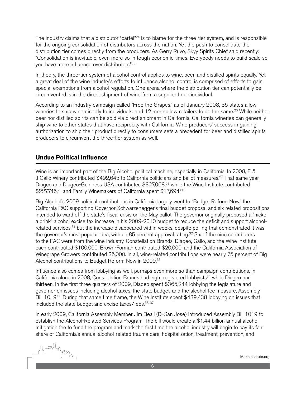The industry claims that a distributor "cartel"<sup>24</sup> is to blame for the three-tier system, and is responsible for the ongoing consolidation of distributors across the nation. Yet the push to consolidate the distribution tier comes directly from the producers. As Gerry Ruvo, Skyy Spirits Chief said recently: "Consolidation is inevitable, even more so in tough economic times. Everybody needs to build scale so you have more influence over distributors."25

In theory, the three-tier system of alcohol control applies to wine, beer, and distilled spirits equally. Yet a great deal of the wine industry's efforts to influence alcohol control is comprised of efforts to gain special exemptions from alcohol regulation. One arena where the distribution tier can potentially be circumvented is in the direct shipment of wine from a supplier to an individual.

According to an industry campaign called "Free the Grapes," as of January 2008, 35 states allow wineries to ship wine directly to individuals, and 12 more allow retailers to do the same.<sup>26</sup> While neither beer nor distilled spirits can be sold via direct shipment in California, California wineries can generally ship wine to other states that have reciprocity with California. Wine producers' success in gaining authorization to ship their product directly to consumers sets a precedent for beer and distilled spirits producers to circumvent the three-tier system as well.

#### **Undue Political Influence**

Wine is an important part of the Big Alcohol political machine, especially in California. In 2008, E & J Gallo Winery contributed \$492,645 to California politicians and ballot measures.27 That same year, Diageo and Diageo-Guinness USA contributed \$327,068,<sup>28</sup> while the Wine Institute contributed \$227,745,<sup>29</sup> and Family Winemakers of California spent \$17,694.<sup>30</sup>

Big Alcohol's 2009 political contributions in California largely went to "Budget Reform Now," the California PAC supporting Governor Schwarzenegger's final budget proposal and six related propositions intended to ward off the state's fiscal crisis on the May ballot. The governor originally proposed a "nickel a drink" alcohol excise tax increase in his 2009-2010 budget to reduce the deficit and support alcoholrelated services,<sup>31</sup> but the increase disappeared within weeks, despite polling that demonstrated it was the governor's most popular idea, with an 85 percent approval rating.<sup>32</sup> Six of the nine contributors to the PAC were from the wine industry. Constellation Brands, Diageo, Gallo, and the Wine Institute each contributed \$100,000, Brown-Forman contributed \$20,000, and the California Association of Winegrape Growers contributed \$5,000. In all, wine-related contributions were nearly 75 percent of Big Alcohol contributions to Budget Reform Now in 2009.33

Influence also comes from lobbying as well, perhaps even more so than campaign contributions. In California alone in 2008, Constellation Brands had eight registered lobbyists<sup>34</sup> while Diageo had thirteen. In the first three quarters of 2009, Diageo spent \$365,244 lobbying the legislature and governor on issues including alcohol taxes, the state budget, and the alcohol fee measure, Assembly Bill 1019.<sup>35</sup> During that same time frame, the Wine Institute spent \$439,438 lobbying on issues that included the state budget and excise taxes/fees. 36, 37

In early 2009, California Assembly Member Jim Beall (D-San Jose) introduced Assembly Bill 1019 to establish the Alcohol-Related Services Program. The bill would create a \$1.44 billion annual alcohol mitigation fee to fund the program and mark the first time the alcohol industry will begin to pay its fair share of California's annual alcohol-related trauma care, hospitalization, treatment, prevention, and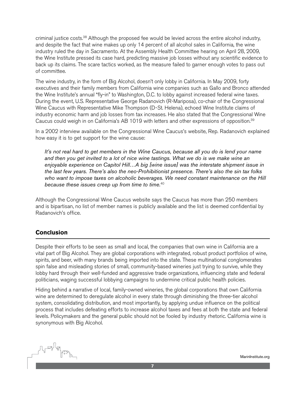criminal justice costs.<sup>38</sup> Although the proposed fee would be levied across the entire alcohol industry, and despite the fact that wine makes up only 14 percent of all alcohol sales in California, the wine industry ruled the day in Sacramento. At the Assembly Health Committee hearing on April 28, 2009, the Wine Institute pressed its case hard, predicting massive job losses without any scientific evidence to back up its claims. The scare tactics worked, as the measure failed to garner enough votes to pass out of committee.

The wine industry, in the form of Big Alcohol, doesn't only lobby in California. In May 2009, forty executives and their family members from California wine companies such as Gallo and Bronco attended the Wine Institute's annual "fly-in" to Washington, D.C. to lobby against increased federal wine taxes. During the event, U.S. Representative George Radanovich (R-Mariposa), co-chair of the Congressional Wine Caucus with Representative Mike Thompson (D-St. Helena), echoed Wine Institute claims of industry economic harm and job losses from tax increases. He also stated that the Congressional Wine Caucus could weigh in on California's AB 1019 with letters and other expressions of opposition.39

In a 2002 interview available on the Congressional Wine Caucus's website, Rep. Radanovich explained how easy it is to get support for the wine cause:

*It's not real hard to get members in the Wine Caucus, because all you do is lend your name and then you get invited to a lot of nice wine tastings. What we do is we make wine an enjoyable experience on Capitol Hill…A big [wine issue] was the interstate shipment issue in the last few years. There's also the neo-Prohibitionist presence. There's also the sin tax folks who want to impose taxes on alcoholic beverages. We need constant maintenance on the Hill because these issues creep up from time to time.*<sup>40</sup>

Although the Congressional Wine Caucus website says the Caucus has more than 250 members and is bipartisan, no list of member names is publicly available and the list is deemed confidential by Radanovich's office.

#### **Conclusion**

Despite their efforts to be seen as small and local, the companies that own wine in California are a vital part of Big Alcohol. They are global corporations with integrated, robust product portfolios of wine, spirits, and beer, with many brands being imported into the state. These multinational conglomerates spin false and misleading stories of small, community-based wineries just trying to survive, while they lobby hard through their well-funded and aggressive trade organizations, influencing state and federal politicians, waging successful lobbying campaigns to undermine critical public health policies.

Hiding behind a narrative of local, family-owned wineries, the global corporations that own California wine are determined to deregulate alcohol in every state through diminishing the three-tier alcohol system, consolidating distribution, and most importantly, by applying undue influence on the political process that includes defeating efforts to increase alcohol taxes and fees at both the state and federal levels. Policymakers and the general public should not be fooled by industry rhetoric. California wine is synonymous with Big Alcohol.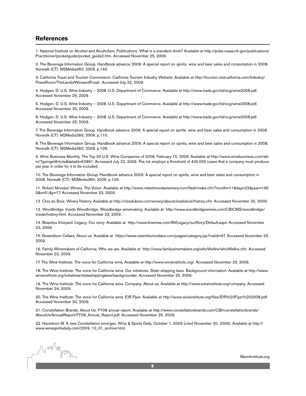#### **References**

1. National Institute on Alcohol and Alcoholism. Publications. What is a standard drink? Available at http://pubs.niaaa.nih.gov/publications/ Practitioner/pocketguide/pocket\_guide2.htm. Accessed November 25, 2009.

2. The Beverage Information Group. Handbook advance 2009: A special report on spirits, wine and beer sales and consumption in 2008. Norwalk (CT): M2Media360; 2009. p.140.

3. California Travel and Tourism Commission. California Tourism Industry Website. Available at http://tourism.visitcalifornia.com/Industry/ PressRoom/TheLandofWineandFood/. Accessed July 22, 2009.

4. Hodgen, D. U.S. Wine Industry – 2008. U.S. Department of Commerce. Available at http://www.trade.gov/td/ocg/wine2008.pdf. Accessed November 25, 2009.

5. Hodgen, D. U.S. Wine Industry – 2008. U.S. Department of Commerce. Available at http://www.trade.gov/td/ocg/wine2008.pdf. Accessed November 25, 2009.

6. Hodgen, D. U.S. Wine Industry – 2008. U.S. Department of Commerce. Available at http://www.trade.gov/td/ocg/wine2008.pdf. Accessed November 25, 2009.

7. The Beverage Information Group. Handbook advance 2009: A special report on spirits, wine and beer sales and consumption in 2008. Norwalk (CT): M2Media360; 2009. p.110.

8. The Beverage Information Group. Handbook advance 2009: A special report on spirits, wine and beer sales and consumption in 2008. Norwalk (CT): M2Media360; 2009. p.109.

9. Wine Business Monthly. The Top 30 U.S. Wine Companies of 2008. February 15, 2009. Available at http://www.winebusiness.com/wb m/?go=getArticle&dataId=62891. Accessed July 22, 2009. The list employs a threshold of 400,000 cases that a company must produce per year in order for it to be included.

10. The Beverage Information Group. Handbook advance 2009: A special report on spirits, wine and beer sales and consumption in 2008. Norwalk (CT): M2Media360; 2009. p.109.

11. Robert Mondavi Winery. The Vision. Available at http://www.robertmondaviwinery.com/flash/index.cfm?month=11&day=23&year=195 5&x=51&y=17. Accessed November 23, 2009.

12. Clos du Bois. Winery History. Available at http://closdubois.com/winery/aboutclosdubois/history.cfm. Accessed November 20, 2009.

13. Woodbridge. Inside Woodbridge. Woodbridge winemaking. Available at http://www.woodbridgewines.com/CBICMS/woodbridge/ inside/history.html. Accessed November 23, 2009.

14. Beaulieu Vineyard. Legacy. Our story. Available at http://www.bvwines.com/BVLegacy/ourStory/Default.aspx. Accessed November 23, 2009.

15. Rosenblum Cellars. About us. Available at https://www.rosenblumcellars.com/pages/category.jsp?catid=47. Accessed November 25, 2009.

16. Family Winemakers of California. Who we are. Available at http://www.familywinemakers.org/whoWeAre/whoWeAre.cfm. Accessed November 23, 2009.

17. The Wine Institute: The voice for California wine. Available at http://www.wineinstitute.org/. Accessed November 23, 2009.

18. The Wine Institute: The voice for California wine. Our initiatives. State shipping laws. Background information. Available at http://www. wineinstitute.org/initiatives/stateshippinglaws/backgrounder. Accessed November 25, 2009.

19. The Wine Institute: The voice for California wine. Company. About us. Available at http://www.wineinstitute.org/company. Accessed November 24, 2009.

20. The Wine Institute: The voice for California wine. EIR Flyer. Available at http://www.wineinstitute.org/files/EIR%20Flyer%202008.pdf. Accessed November 30, 2009.

21. Constellation Brands. About Us. FY08 annual report. Available at http://www.constellationbrands.com/CBI/constellationbrands/ AboutUs/AnnualReport/FY08\_Annual\_Report.pdf. Accessed November 25, 2009.

22. Haverkorn M. A new Constellation emerges. Wine & Spirits Daily. October 1, 2009 (cited November 30, 2009). Available at http:// www.winespiritsdaily.com/2009\_10\_01\_archive.html.

Length deal deal Line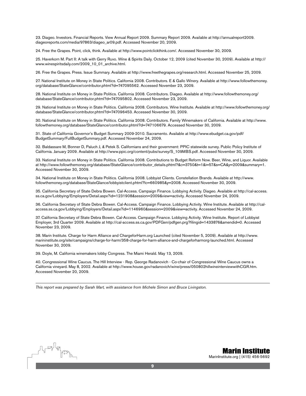23. Diageo. Investors. Financial Reports. View Annual Report 2009. Summary Report 2009. Available at http://annualreport2009. diageoreports.com/media/97863/diageo\_ar09.pdf. Accessed November 20, 2009.

24. Free the Grapes. Point, click, think. Available at http://www.pointclickthink.com/. Accessed November 30, 2009.

25. Haverkorn M. Part II: A talk with Gerry Ruvo. Wine & Spirits Daily. October 12, 2009 (cited November 30, 2009). Available at http:// www.winespiritsdaily.com/2009\_10\_01\_archive.html.

26. Free the Grapes. Press. Issue Summary. Available at http://www.freethegrapes.org/research.html. Accessed November 25, 2009.

27. National Institute on Money in State Politics. California 2008. Contributors. E & Gallo Winery. Available at http://www.followthemoney. org/database/StateGlance/contributor.phtml?d=747095562. Accessed November 23, 2009.

28. National Institute on Money in State Politics. California 2008. Contributors. Diageo. Available at http://www.followthemoney.org/ database/StateGlance/contributor.phtml?d=747095802. Accessed November 23, 2009.

29. National Institute on Money in State Politics. California 2008. Contributors. Wine Institute. Available at http://www.followthemoney.org/ database/StateGlance/contributor.phtml?d=747096453. Accessed November 30, 2009.

30. National Institute on Money in State Politics. California 2008. Contributors. Family Winemakers of California. Available at http://www. followthemoney.org/database/StateGlance/contributor.phtml?d=747106679. Accessed November 30, 2009.

31. State of California Governor's Budget Summary 2009-2010. Sacramento. Available at http://www.ebudget.ca.gov/pdf/ BudgetSummary/FullBudgetSummary.pdf. Accessed November 24, 2009.

32. Baldassare M, Bonner D, Paluch J, & Petek S. Californians and their government: PPIC statewide survey. Public Policy Institute of California. January 2009. Available at http://www.ppic.org/content/pubs/survey/S\_109MBS.pdf. Accessed November 30, 2009.

33. National Institute on Money in State Politics. California 2008. Contributions to Budget Reform Now. Beer, Wine, and Liquor. Available at http://www.followthemoney.org/database/StateGlance/contributor\_details.phtml?&c=3750&t=1&i=57&s=CA&y=2009&summary=1. Accessed November 30, 2009.

34. National Institute on Money in State Politics. California 2008. Lobbyist Clients. Constellation Brands. Available at http://www. followthemoney.org/database/StateGlance/lobbyistclient.phtml?lc=660985&y=2008. Accessed November 30, 2009.

35. California Secretary of State Debra Bowen. Cal-Access. Campaign Finance. Lobbying Activity. Diageo. Available at http://cal-access. ss.ca.gov/Lobbying/Employers/Detail.aspx?id=1231908&session=2009&view=activity. Accessed November 24, 2009.

36. California Secretary of State Debra Bowen. Cal-Access. Campaign Finance. Lobbying Activity. Wine Institute. Available at http://calaccess.ss.ca.gov/Lobbying/Employers/Detail.aspx?id=1146960&session=2009&view=activity. Accessed November 24, 2009.

37. California Secretary of State Debra Bowen. Cal-Access. Campaign Finance. Lobbying Activity. Wine Institute. Report of Lobbyist Employer, 3rd Quarter 2009. Available at http://cal-access.ss.ca.gov/PDFGen/pdfgen.prg?filingid=1433876&amendid=0. Accessed November 23, 2009.

38. Marin Institute. Charge for Harm Alliance and ChargeforHarm.org Launched (cited November 5, 2009). Available at http://www. marininstitute.org/site/campaigns/charge-for-harm/358-charge-for-harm-alliance-and-chargeforharmorg-launched.html. Accessed November 30, 2009.

39. Doyle, M. California winemakers lobby Congress. The Miami Herald. May 13, 2009.

40. Congressional Wine Caucus. The Hill Interview - Rep. George Radanovich - Co-chair of Congressional Wine Caucus owns a California vineyard. May 8, 2002. Available at http://www.house.gov/radanovich/wine/press/050802hillwineinterviewwithCGR.htm. Accessed November 20, 2009.

*This report was prepared by Sarah Mart, with assistance from Michele Simon and Bruce Livingston.* 



MarinInstitute.org | (415) 456-5692 Marin Institute